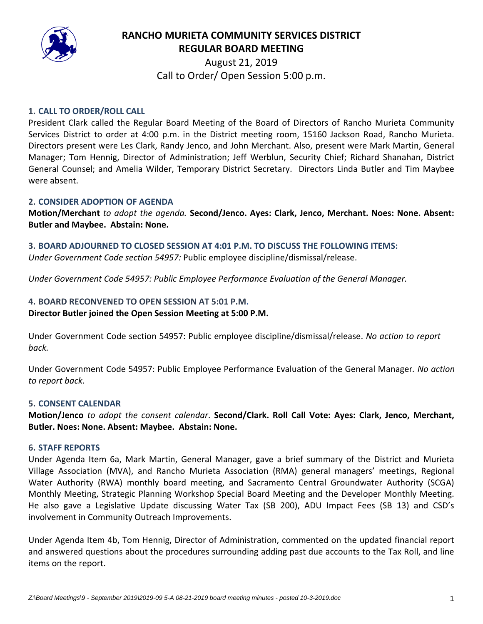

# **RANCHO MURIETA COMMUNITY SERVICES DISTRICT REGULAR BOARD MEETING**

August 21, 2019 Call to Order/ Open Session 5:00 p.m.

# **1. CALL TO ORDER/ROLL CALL**

President Clark called the Regular Board Meeting of the Board of Directors of Rancho Murieta Community Services District to order at 4:00 p.m. in the District meeting room, 15160 Jackson Road, Rancho Murieta. Directors present were Les Clark, Randy Jenco, and John Merchant. Also, present were Mark Martin, General Manager; Tom Hennig, Director of Administration; Jeff Werblun, Security Chief; Richard Shanahan, District General Counsel; and Amelia Wilder, Temporary District Secretary. Directors Linda Butler and Tim Maybee were absent.

#### **2. CONSIDER ADOPTION OF AGENDA**

**Motion/Merchant** *to adopt the agenda.* **Second/Jenco. Ayes: Clark, Jenco, Merchant. Noes: None. Absent: Butler and Maybee. Abstain: None.** 

**3. BOARD ADJOURNED TO CLOSED SESSION AT 4:01 P.M. TO DISCUSS THE FOLLOWING ITEMS:**

*Under Government Code section 54957:* Public employee discipline/dismissal/release.

*Under Government Code 54957: Public Employee Performance Evaluation of the General Manager.*

# **4. BOARD RECONVENED TO OPEN SESSION AT 5:01 P.M. Director Butler joined the Open Session Meeting at 5:00 P.M.**

Under Government Code section 54957: Public employee discipline/dismissal/release. *No action to report back.*

Under Government Code 54957: Public Employee Performance Evaluation of the General Manager*. No action to report back.*

#### **5. CONSENT CALENDAR**

**Motion/Jenco** *to adopt the consent calendar*. **Second/Clark. Roll Call Vote: Ayes: Clark, Jenco, Merchant, Butler. Noes: None. Absent: Maybee. Abstain: None.** 

#### **6. STAFF REPORTS**

Under Agenda Item 6a, Mark Martin, General Manager, gave a brief summary of the District and Murieta Village Association (MVA), and Rancho Murieta Association (RMA) general managers' meetings, Regional Water Authority (RWA) monthly board meeting, and Sacramento Central Groundwater Authority (SCGA) Monthly Meeting, Strategic Planning Workshop Special Board Meeting and the Developer Monthly Meeting. He also gave a Legislative Update discussing Water Tax (SB 200), ADU Impact Fees (SB 13) and CSD's involvement in Community Outreach Improvements.

Under Agenda Item 4b, Tom Hennig, Director of Administration, commented on the updated financial report and answered questions about the procedures surrounding adding past due accounts to the Tax Roll, and line items on the report.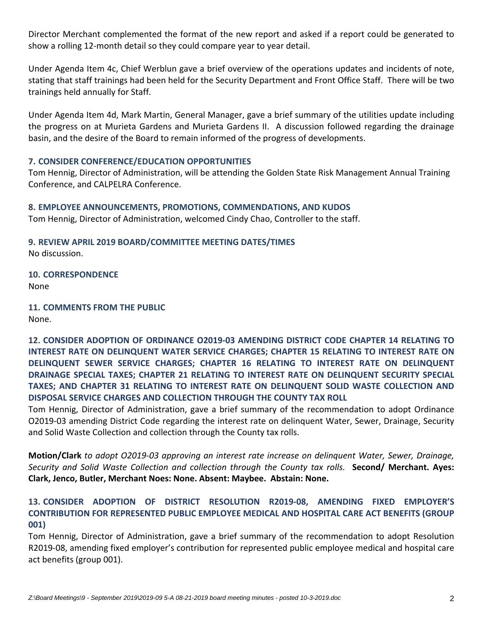Director Merchant complemented the format of the new report and asked if a report could be generated to show a rolling 12‐month detail so they could compare year to year detail.

Under Agenda Item 4c, Chief Werblun gave a brief overview of the operations updates and incidents of note, stating that staff trainings had been held for the Security Department and Front Office Staff. There will be two trainings held annually for Staff.

Under Agenda Item 4d, Mark Martin, General Manager, gave a brief summary of the utilities update including the progress on at Murieta Gardens and Murieta Gardens II. A discussion followed regarding the drainage basin, and the desire of the Board to remain informed of the progress of developments.

# **7. CONSIDER CONFERENCE/EDUCATION OPPORTUNITIES**

Tom Hennig, Director of Administration, will be attending the Golden State Risk Management Annual Training Conference, and CALPELRA Conference.

# **8. EMPLOYEE ANNOUNCEMENTS, PROMOTIONS, COMMENDATIONS, AND KUDOS**

Tom Hennig, Director of Administration, welcomed Cindy Chao, Controller to the staff.

**9. REVIEW APRIL 2019 BOARD/COMMITTEE MEETING DATES/TIMES** No discussion.

**10. CORRESPONDENCE** None

**11. COMMENTS FROM THE PUBLIC**  None.

**12. CONSIDER ADOPTION OF ORDINANCE O2019‐03 AMENDING DISTRICT CODE CHAPTER 14 RELATING TO INTEREST RATE ON DELINQUENT WATER SERVICE CHARGES; CHAPTER 15 RELATING TO INTEREST RATE ON DELINQUENT SEWER SERVICE CHARGES; CHAPTER 16 RELATING TO INTEREST RATE ON DELINQUENT DRAINAGE SPECIAL TAXES; CHAPTER 21 RELATING TO INTEREST RATE ON DELINQUENT SECURITY SPECIAL TAXES; AND CHAPTER 31 RELATING TO INTEREST RATE ON DELINQUENT SOLID WASTE COLLECTION AND DISPOSAL SERVICE CHARGES AND COLLECTION THROUGH THE COUNTY TAX ROLL**

Tom Hennig, Director of Administration, gave a brief summary of the recommendation to adopt Ordinance O2019‐03 amending District Code regarding the interest rate on delinquent Water, Sewer, Drainage, Security and Solid Waste Collection and collection through the County tax rolls.

**Motion/Clark** *to adopt O2019‐03 approving an interest rate increase on delinquent Water, Sewer, Drainage, Security and Solid Waste Collection and collection through the County tax rolls.*  **Second/ Merchant. Ayes: Clark, Jenco, Butler, Merchant Noes: None. Absent: Maybee. Abstain: None.** 

# **13. CONSIDER ADOPTION OF DISTRICT RESOLUTION R2019‐08, AMENDING FIXED EMPLOYER'S CONTRIBUTION FOR REPRESENTED PUBLIC EMPLOYEE MEDICAL AND HOSPITAL CARE ACT BENEFITS (GROUP 001)**

Tom Hennig, Director of Administration, gave a brief summary of the recommendation to adopt Resolution R2019-08, amending fixed employer's contribution for represented public employee medical and hospital care act benefits (group 001).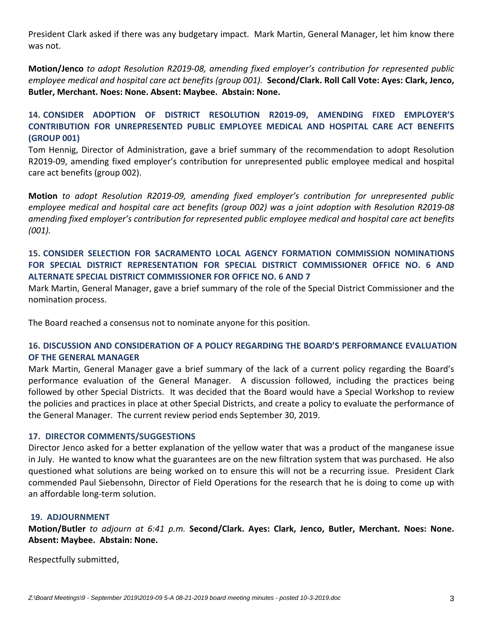President Clark asked if there was any budgetary impact. Mark Martin, General Manager, let him know there was not.

**Motion/Jenco** *to adopt Resolution R2019‐08, amending fixed employer's contribution for represented public employee medical and hospital care act benefits (group 001).* **Second/Clark. Roll Call Vote: Ayes: Clark, Jenco, Butler, Merchant. Noes: None. Absent: Maybee. Abstain: None.** 

**14. CONSIDER ADOPTION OF DISTRICT RESOLUTION R2019‐09, AMENDING FIXED EMPLOYER'S CONTRIBUTION FOR UNREPRESENTED PUBLIC EMPLOYEE MEDICAL AND HOSPITAL CARE ACT BENEFITS (GROUP 001)**

Tom Hennig, Director of Administration, gave a brief summary of the recommendation to adopt Resolution R2019‐09, amending fixed employer's contribution for unrepresented public employee medical and hospital care act benefits (group 002).

**Motion** *to adopt Resolution R2019‐09, amending fixed employer's contribution for unrepresented public* employee medical and hospital care act benefits (group 002) was a joint adoption with Resolution R2019-08 *amending fixed employer's contribution for represented public employee medical and hospital care act benefits (001).*

# **15. CONSIDER SELECTION FOR SACRAMENTO LOCAL AGENCY FORMATION COMMISSION NOMINATIONS FOR SPECIAL DISTRICT REPRESENTATION FOR SPECIAL DISTRICT COMMISSIONER OFFICE NO. 6 AND ALTERNATE SPECIAL DISTRICT COMMISSIONER FOR OFFICE NO. 6 AND 7**

Mark Martin, General Manager, gave a brief summary of the role of the Special District Commissioner and the nomination process.

The Board reached a consensus not to nominate anyone for this position.

# **16. DISCUSSION AND CONSIDERATION OF A POLICY REGARDING THE BOARD'S PERFORMANCE EVALUATION OF THE GENERAL MANAGER**

Mark Martin, General Manager gave a brief summary of the lack of a current policy regarding the Board's performance evaluation of the General Manager. A discussion followed, including the practices being followed by other Special Districts. It was decided that the Board would have a Special Workshop to review the policies and practices in place at other Special Districts, and create a policy to evaluate the performance of the General Manager. The current review period ends September 30, 2019.

#### **17. DIRECTOR COMMENTS/SUGGESTIONS**

Director Jenco asked for a better explanation of the yellow water that was a product of the manganese issue in July. He wanted to know what the guarantees are on the new filtration system that was purchased. He also questioned what solutions are being worked on to ensure this will not be a recurring issue. President Clark commended Paul Siebensohn, Director of Field Operations for the research that he is doing to come up with an affordable long‐term solution.

#### **19. ADJOURNMENT**

**Motion/Butler** *to adjourn at 6:41 p.m.* **Second/Clark. Ayes: Clark, Jenco, Butler, Merchant. Noes: None. Absent: Maybee. Abstain: None.** 

Respectfully submitted,